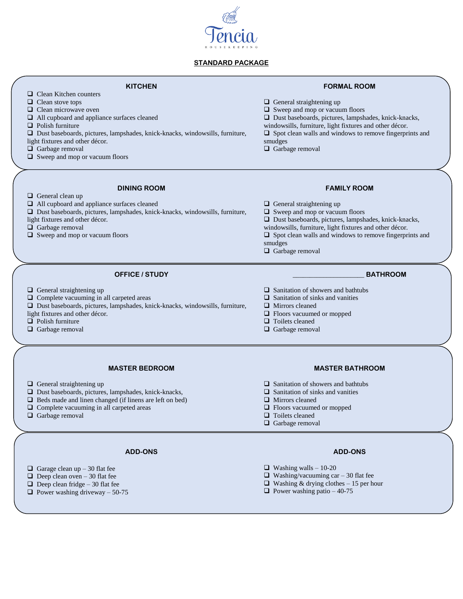

#### **STANDARD PACKAGE**

### **KITCHEN**

- □ Clean Kitchen counters
- $\Box$  Clean stove tops
- $\Box$  Clean microwave oven
- □ All cupboard and appliance surfaces cleaned
- **Q** Polish furniture

Dust baseboards, pictures, lampshades, knick-knacks, windowsills, furniture,

- light fixtures and other décor.
- □ Garbage removal
- □ Sweep and mop or vacuum floors

#### **DINING ROOM**

General clean up

All cupboard and appliance surfaces cleaned

 $\Box$  Complete vacuuming in all carpeted areas

Dust baseboards, pictures, lampshades, knick-knacks, windowsills, furniture,

**OFFICE / STUDY**

Dust baseboards, pictures, lampshades, knick-knacks, windowsills, furniture,

light fixtures and other décor.

General straightening up

light fixtures and other décor.

**D** Polish furniture Garbage removal

- $\Box$  Garbage removal
- $\Box$  Sweep and mop or vacuum floors

- General straightening up
- □ Sweep and mop or vacuum floors
- $\square$  Dust baseboards, pictures, lampshades, knick-knacks,

**FORMAL ROOM**

- windowsills, furniture, light fixtures and other décor.
- $\square$  Spot clean walls and windows to remove fingerprints and smudges
- □ Garbage removal

#### **FAMILY ROOM**

- General straightening up
- □ Sweep and mop or vacuum floors
- Dust baseboards, pictures, lampshades, knick-knacks,
- windowsills, furniture, light fixtures and other décor.
- $\Box$  Spot clean walls and windows to remove fingerprints and smudges
- Garbage removal

#### \_\_\_\_\_\_\_\_\_\_\_\_\_\_\_\_\_\_\_\_\_ **BATHROOM**

- $\Box$  Sanitation of showers and bathtubs
- $\Box$  Sanitation of sinks and vanities
- **I** Mirrors cleaned
- □ Floors vacuumed or mopped
- **Q** Toilets cleaned
- Garbage removal

# **MASTER BEDROOM**

- $\Box$  General straightening up
- Dust baseboards, pictures, lampshades, knick-knacks,
- $\Box$  Beds made and linen changed (if linens are left on bed)
- $\Box$  Complete vacuuming in all carpeted areas
- Garbage removal

#### **ADD-ONS**

- $\Box$  Garage clean up 30 flat fee
- $\Box$  Deep clean oven 30 flat fee
- $\Box$  Deep clean fridge 30 flat fee
- $\Box$  Power washing driveway 50-75

# **MASTER BATHROOM**

- $\Box$  Sanitation of showers and bathtubs
- $\Box$  Sanitation of sinks and vanities
- **Mirrors** cleaned
- $\Box$  Floors vacuumed or mopped
- **T** Toilets cleaned
- Garbage removal

#### **ADD-ONS**

- $\Box$  Washing walls 10-20
- $\Box$  Washing/vacuuming car 30 flat fee
- $\Box$  Washing & drying clothes 15 per hour
- $\Box$  Power washing patio 40-75